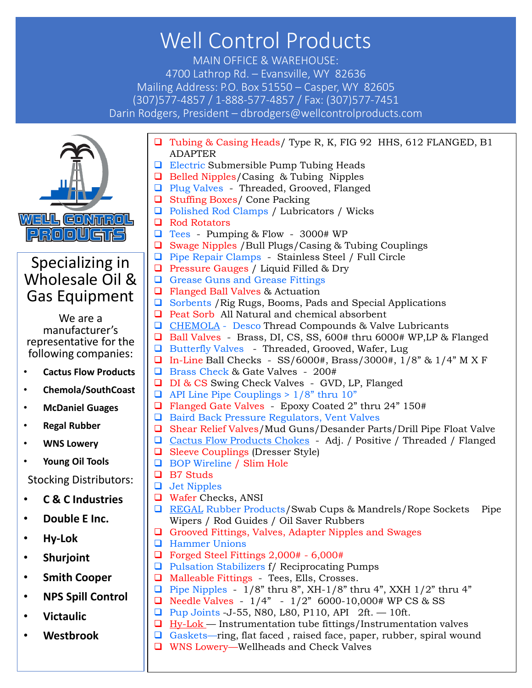## Well Control Products

MAIN OFFICE & WAREHOUSE: 4700 Lathrop Rd. – Evansville, WY 82636 Mailing Address: P.O. Box 51550 – Casper, WY 82605 (307)577-4857 / 1-888-577-4857 / Fax: (307)577-7451 Darin Rodgers, President – dbrodgers@wellcontrolproducts.com



## Specializing in Wholesale Oil & Gas Equipment

We are a manufacturer's representative for the following companies:

- **Cactus Flow Products**
- **Chemola/SouthCoast**
- **McDaniel Guages**
- **Regal Rubber**
- **WNS Lowery**
- **Young Oil Tools**

Stocking Distributors:

- **C & C Industries**
- **Double E Inc.**
- **Hy-Lok**
- **Shurjoint**
- **Smith Cooper**
- **NPS Spill Control**
- **Victaulic**
- **Westbrook**
- ❑ Tubing & Casing Heads/ Type R, K, FIG 92 HHS, 612 FLANGED, B1 ADAPTER ❑ Electric Submersible Pump Tubing Heads
- ❑ Belled Nipples/Casing & Tubing Nipples
- ❑ Plug Valves Threaded, Grooved, Flanged
- ❑ Stuffing Boxes/ Cone Packing
- ❑ Polished Rod Clamps / Lubricators / Wicks
- ❑ Rod Rotators
- ❑ Tees Pumping & Flow 3000# WP
- ❑ Swage Nipples /Bull Plugs/Casing & Tubing Couplings
- ❑ Pipe Repair Clamps Stainless Steel / Full Circle
- ❑ Pressure Gauges / Liquid Filled & Dry
- ❑ Grease Guns and Grease Fittings
- ❑ Flanged Ball Valves & Actuation
- ❑ Sorbents /Rig Rugs, Booms, Pads and Special Applications
- ❑ Peat Sorb All Natural and chemical absorbent
- ❑ CHEMOLA Desco Thread Compounds & Valve Lubricants
- ❑ Ball Valves Brass, DI, CS, SS, 600# thru 6000# WP,LP & Flanged
- ❑ Butterfly Valves Threaded, Grooved, Wafer, Lug
- ❑ In-Line Ball Checks SS/6000#, Brass/3000#, 1/8" & 1/4" M X F
- ❑ Brass Check & Gate Valves 200#
- ❑ DI & CS Swing Check Valves GVD, LP, Flanged
- $\Box$  API Line Pipe Couplings > 1/8" thru 10"
- ❑ Flanged Gate Valves Epoxy Coated 2" thru 24" 150#
- ❑ Baird Back Pressure Regulators, Vent Valves
- ❑ Shear Relief Valves/Mud Guns/Desander Parts/Drill Pipe Float Valve
- ❑ Cactus Flow Products Chokes Adj. / Positive / Threaded / Flanged
- ❑ Sleeve Couplings (Dresser Style)
- ❑ BOP Wireline / Slim Hole
- ❑ B7 Studs
- ❑ Jet Nipples
- ❑ Wafer Checks, ANSI
- ❑ REGAL Rubber Products/Swab Cups & Mandrels/Rope Sockets Pipe Wipers / Rod Guides / Oil Saver Rubbers
- ❑ Grooved Fittings, Valves, Adapter Nipples and Swages
- ❑ Hammer Unions
	- ❑ Forged Steel Fittings 2,000# 6,000#
	- ❑ Pulsation Stabilizers f/ Reciprocating Pumps
	- ❑ Malleable Fittings Tees, Ells, Crosses.
	- $\Box$  Pipe Nipples 1/8" thru 8", XH-1/8" thru 4", XXH 1/2" thru 4"
	- □ Needle Valves  $1/4$ "  $1/2$ " 6000-10,000# WP CS & SS
	- ❑ Pup Joints -J-55, N80, L80, P110, API 2ft. 10ft.
	- $\Box$  Hy-Lok Instrumentation tube fittings/Instrumentation valves
	- ❑ Gaskets—ring, flat faced , raised face, paper, rubber, spiral wound
	- ❑ WNS Lowery—Wellheads and Check Valves